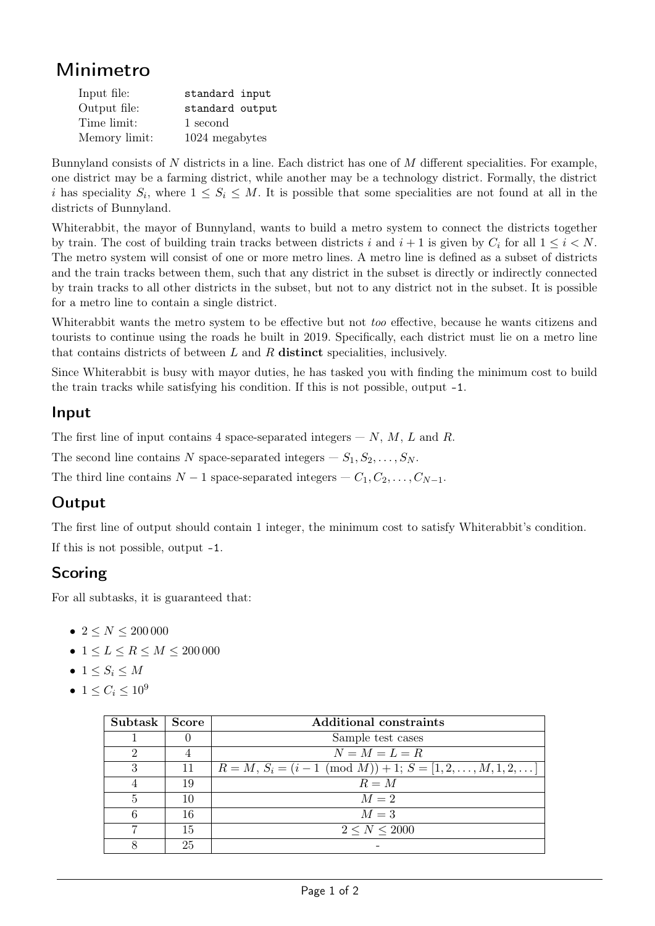# Minimetro

| Input file:   | standard input  |
|---------------|-----------------|
| Output file:  | standard output |
| Time limit:   | 1 second        |
| Memory limit: | 1024 megabytes  |

Bunnyland consists of N districts in a line. Each district has one of M different specialities. For example, one district may be a farming district, while another may be a technology district. Formally, the district i has speciality  $S_i$ , where  $1 \leq S_i \leq M$ . It is possible that some specialities are not found at all in the districts of Bunnyland.

Whiterabbit, the mayor of Bunnyland, wants to build a metro system to connect the districts together by train. The cost of building train tracks between districts i and  $i + 1$  is given by  $C_i$  for all  $1 \leq i \leq N$ . The metro system will consist of one or more metro lines. A metro line is defined as a subset of districts and the train tracks between them, such that any district in the subset is directly or indirectly connected by train tracks to all other districts in the subset, but not to any district not in the subset. It is possible for a metro line to contain a single district.

Whiterabbit wants the metro system to be effective but not *too* effective, because he wants citizens and tourists to continue using the roads he built in 2019. Specifically, each district must lie on a metro line that contains districts of between  $L$  and  $R$  distinct specialities, inclusively.

Since Whiterabbit is busy with mayor duties, he has tasked you with finding the minimum cost to build the train tracks while satisfying his condition. If this is not possible, output -1.

#### Input

The first line of input contains 4 space-separated integers  $-N, M, L$  and R.

The second line contains N space-separated integers  $- S_1, S_2, \ldots, S_N$ .

The third line contains  $N-1$  space-separated integers  $-C_1, C_2, \ldots, C_{N-1}$ .

#### **Output**

The first line of output should contain 1 integer, the minimum cost to satisfy Whiterabbit's condition. If this is not possible, output -1.

#### Scoring

For all subtasks, it is guaranteed that:

- $2 \leq N \leq 200000$
- $1 \le L \le R \le M \le 200000$
- $1 \leq S_i \leq M$
- 1  $\leq C_i \leq 10^9$

| Subtask | Score | <b>Additional constraints</b>                                |
|---------|-------|--------------------------------------------------------------|
|         | U     | Sample test cases                                            |
|         |       | $N = M = L = R$                                              |
|         | 11    | $R = M, S_i = (i - 1 \pmod{M}) + 1; S = [1, 2, , M, 1, 2, ]$ |
|         | 19    | $R = M$                                                      |
|         | 10    | $M=2$                                                        |
|         | 16    | $M=3$                                                        |
|         | 15    | 2 < N < 2000                                                 |
|         | 25    |                                                              |